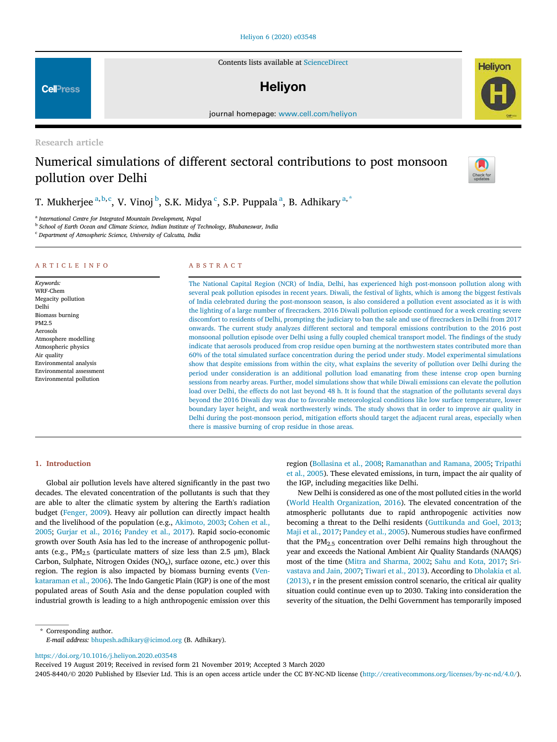# Heliyon 6 (2020) e03548

Contents lists available at ScienceDirect

# **Helivon**

journal homepage: www.cell.com/heliyon

# Research article

**Cell**<sup>2</sup>ress

# Numerical simulations of different sectoral contributions to post monsoon pollution over Delhi



Helivon

T. Mukherjee <sup>a, b, c</sup>, V. Vinoj <sup>b</sup>, S.K. Midya <sup>c</sup>, S.P. Puppala <sup>a</sup>, B. Adhikary <sup>a, \*</sup>

a *International Centre for Integrated Mountain Development, Nepal*

b *School of Earth Ocean and Climate Science, Indian Institute of Technology, Bhubaneswar, India*

<sup>c</sup> *Department of Atmospheric Science, University of Calcutta, India*

#### ARTICLE INFO

*Keywords:* WRF-Chem Megacity pollution Delhi Biomass burning PM2.5 Aerosols Atmosphere modelling Atmospheric physics Air quality Environmental analysis Environmental assessment Environmental pollution

### ABSTRACT

The National Capital Region (NCR) of India, Delhi, has experienced high post-monsoon pollution along with several peak pollution episodes in recent years. Diwali, the festival of lights, which is among the biggest festivals of India celebrated during the post-monsoon season, is also considered a pollution event associated as it is with the lighting of a large number of firecrackers. 2016 Diwali pollution episode continued for a week creating severe discomfort to residents of Delhi, prompting the judiciary to ban the sale and use of firecrackers in Delhi from 2017 onwards. The current study analyzes different sectoral and temporal emissions contribution to the 2016 post monsoonal pollution episode over Delhi using a fully coupled chemical transport model. The findings of the study indicate that aerosols produced from crop residue open burning at the northwestern states contributed more than 60% of the total simulated surface concentration during the period under study. Model experimental simulations show that despite emissions from within the city, what explains the severity of pollution over Delhi during the period under consideration is an additional pollution load emanating from these intense crop open burning sessions from nearby areas. Further, model simulations show that while Diwali emissions can elevate the pollution load over Delhi, the effects do not last beyond 48 h. It is found that the stagnation of the pollutants several days beyond the 2016 Diwali day was due to favorable meteorological conditions like low surface temperature, lower boundary layer height, and weak northwesterly winds. The study shows that in order to improve air quality in Delhi during the post-monsoon period, mitigation efforts should target the adjacent rural areas, especially when there is massive burning of crop residue in those areas.

# 1. Introduction

Global air pollution levels have altered significantly in the past two decades. The elevated concentration of the pollutants is such that they are able to alter the climatic system by altering the Earth's radiation budget (Fenger, 2009). Heavy air pollution can directly impact health and the livelihood of the population (e.g., Akimoto, 2003; Cohen et al., 2005; Gurjar et al., 2016; Pandey et al., 2017). Rapid socio-economic growth over South Asia has led to the increase of anthropogenic pollutants (e.g.,  $PM_{2.5}$  (particulate matters of size less than 2.5  $\mu$ m), Black Carbon, Sulphate, Nitrogen Oxides ( $NO<sub>x</sub>$ ), surface ozone, etc.) over this region. The region is also impacted by biomass burning events (Venkataraman et al., 2006). The Indo Gangetic Plain (IGP) is one of the most populated areas of South Asia and the dense population coupled with industrial growth is leading to a high anthropogenic emission over this

region (Bollasina et al., 2008; Ramanathan and Ramana, 2005; Tripathi et al., 2005). These elevated emissions, in turn, impact the air quality of the IGP, including megacities like Delhi.

New Delhi is considered as one of the most polluted cities in the world (World Health Organization, 2016). The elevated concentration of the atmospheric pollutants due to rapid anthropogenic activities now becoming a threat to the Delhi residents (Guttikunda and Goel, 2013; Maji et al., 2017; Pandey et al., 2005). Numerous studies have confirmed that the  $PM<sub>2.5</sub>$  concentration over Delhi remains high throughout the year and exceeds the National Ambient Air Quality Standards (NAAQS) most of the time (Mitra and Sharma, 2002; Sahu and Kota, 2017; Srivastava and Jain, 2007; Tiwari et al., 2013). According to Dholakia et al. (2013), r in the present emission control scenario, the critical air quality situation could continue even up to 2030. Taking into consideration the severity of the situation, the Delhi Government has temporarily imposed

\* Corresponding author. *E-mail address:* bhupesh.adhikary@icimod.org (B. Adhikary).

https://doi.org/10.1016/j.heliyon.2020.e03548

Received 19 August 2019; Received in revised form 21 November 2019; Accepted 3 March 2020

2405-8440/© 2020 Published by Elsevier Ltd. This is an open access article under the CC BY-NC-ND license (http://creativecommons.org/licenses/by-nc-nd/4.0/).

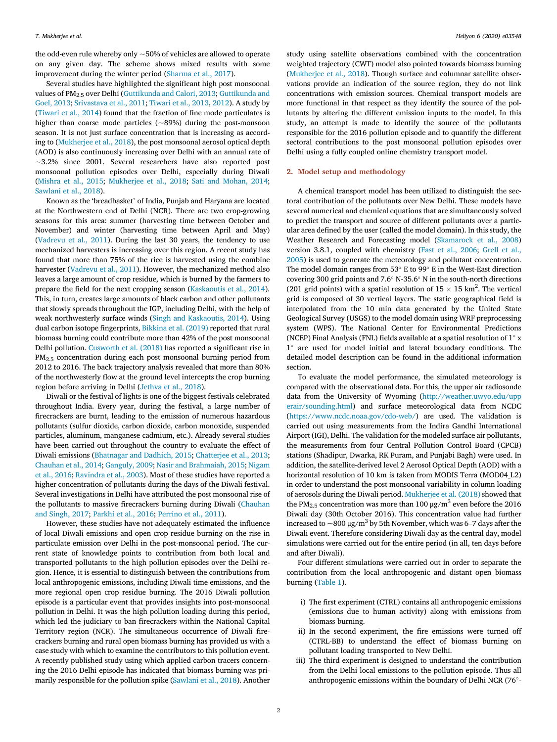the odd-even rule whereby only  $\sim$  50% of vehicles are allowed to operate on any given day. The scheme shows mixed results with some improvement during the winter period (Sharma et al., 2017).

Several studies have highlighted the significant high post monsoonal values of PM2.5 over Delhi (Guttikunda and Calori, 2013; Guttikunda and Goel, 2013; Srivastava et al., 2011; Tiwari et al., 2013, 2012). A study by (Tiwari et al., 2014) found that the fraction of fine mode particulates is higher than coarse mode particles  $(\sim 89\%)$  during the post-monsoon season. It is not just surface concentration that is increasing as according to (Mukherjee et al., 2018), the post monsoonal aerosol optical depth (AOD) is also continuously increasing over Delhi with an annual rate of  $\sim$ 3.2% since 2001. Several researchers have also reported post monsoonal pollution episodes over Delhi, especially during Diwali (Mishra et al., 2015; Mukherjee et al., 2018; Sati and Mohan, 2014; Sawlani et al., 2018).

Known as the 'breadbasket' of India, Punjab and Haryana are located at the Northwestern end of Delhi (NCR). There are two crop-growing seasons for this area: summer (harvesting time between October and November) and winter (harvesting time between April and May) (Vadrevu et al., 2011). During the last 30 years, the tendency to use mechanized harvesters is increasing over this region. A recent study has found that more than 75% of the rice is harvested using the combine harvester (Vadrevu et al., 2011). However, the mechanized method also leaves a large amount of crop residue, which is burned by the farmers to prepare the field for the next cropping season (Kaskaoutis et al., 2014). This, in turn, creates large amounts of black carbon and other pollutants that slowly spreads throughout the IGP, including Delhi, with the help of weak northwesterly surface winds (Singh and Kaskaoutis, 2014). Using dual carbon isotope fingerprints, Bikkina et al. (2019) reported that rural biomass burning could contribute more than 42% of the post monsoonal Delhi pollution. Cusworth et al. (2018) has reported a significant rise in PM2.5 concentration during each post monsoonal burning period from 2012 to 2016. The back trajectory analysis revealed that more than 80% of the northwesterly flow at the ground level intercepts the crop burning region before arriving in Delhi (Jethva et al., 2018).

Diwali or the festival of lights is one of the biggest festivals celebrated throughout India. Every year, during the festival, a large number of firecrackers are burnt, leading to the emission of numerous hazardous pollutants (sulfur dioxide, carbon dioxide, carbon monoxide, suspended particles, aluminum, manganese cadmium, etc.). Already several studies have been carried out throughout the country to evaluate the effect of Diwali emissions (Bhatnagar and Dadhich, 2015; Chatterjee et al., 2013; Chauhan et al., 2014; Ganguly, 2009; Nasir and Brahmaiah, 2015; Nigam et al., 2016; Ravindra et al., 2003). Most of these studies have reported a higher concentration of pollutants during the days of the Diwali festival. Several investigations in Delhi have attributed the post monsoonal rise of the pollutants to massive firecrackers burning during Diwali (Chauhan and Singh, 2017; Parkhi et al., 2016; Perrino et al., 2011).

However, these studies have not adequately estimated the influence of local Diwali emissions and open crop residue burning on the rise in particulate emission over Delhi in the post-monsoonal period. The current state of knowledge points to contribution from both local and transported pollutants to the high pollution episodes over the Delhi region. Hence, it is essential to distinguish between the contributions from local anthropogenic emissions, including Diwali time emissions, and the more regional open crop residue burning. The 2016 Diwali pollution episode is a particular event that provides insights into post-monsoonal pollution in Delhi. It was the high pollution loading during this period, which led the judiciary to ban firecrackers within the National Capital Territory region (NCR). The simultaneous occurrence of Diwali firecrackers burning and rural open biomass burning has provided us with a case study with which to examine the contributors to this pollution event. A recently published study using which applied carbon tracers concerning the 2016 Delhi episode has indicated that biomass burning was primarily responsible for the pollution spike (Sawlani et al., 2018). Another study using satellite observations combined with the concentration weighted trajectory (CWT) model also pointed towards biomass burning (Mukherjee et al., 2018). Though surface and columnar satellite observations provide an indication of the source region, they do not link concentrations with emission sources. Chemical transport models are more functional in that respect as they identify the source of the pollutants by altering the different emission inputs to the model. In this study, an attempt is made to identify the source of the pollutants responsible for the 2016 pollution episode and to quantify the different sectoral contributions to the post monsoonal pollution episodes over Delhi using a fully coupled online chemistry transport model.

# 2. Model setup and methodology

A chemical transport model has been utilized to distinguish the sectoral contribution of the pollutants over New Delhi. These models have several numerical and chemical equations that are simultaneously solved to predict the transport and source of different pollutants over a particular area defined by the user (called the model domain). In this study, the Weather Research and Forecasting model (Skamarock et al., 2008) version 3.8.1, coupled with chemistry (Fast et al., 2006; Grell et al., 2005) is used to generate the meteorology and pollutant concentration. The model domain ranges from  $53^\circ$  E to 99 $^\circ$  E in the West-East direction covering 300 grid points and 7.6 $^{\circ}$  N-35.6 $^{\circ}$  N in the south-north directions (201 grid points) with a spatial resolution of  $15 \times 15$  km<sup>2</sup>. The vertical grid is composed of 30 vertical layers. The static geographical field is interpolated from the 10 min data generated by the United State Geological Survey (USGS) to the model domain using WRF preprocessing system (WPS). The National Center for Environmental Predictions (NCEP) Final Analysis (FNL) fields available at a spatial resolution of  $1^\circ$  x 1 are used for model initial and lateral boundary conditions. The detailed model description can be found in the additional information section.

To evaluate the model performance, the simulated meteorology is compared with the observational data. For this, the upper air radiosonde data from the University of Wyoming (http://weather.uwyo.edu/upp erair/sounding.html) and surface meteorological data from NCDC (https://www.ncdc.noaa.gov/cdo-web/) are used. The validation is carried out using measurements from the Indira Gandhi International Airport (IGI), Delhi. The validation for the modeled surface air pollutants, the measurements from four Central Pollution Control Board (CPCB) stations (Shadipur, Dwarka, RK Puram, and Punjabi Bagh) were used. In addition, the satellite-derived level 2 Aerosol Optical Depth (AOD) with a horizontal resolution of 10 km is taken from MODIS Terra (MOD04\_L2) in order to understand the post monsoonal variability in column loading of aerosols during the Diwali period. Mukherjee et al. (2018) showed that the PM<sub>2.5</sub> concentration was more than 100  $\mu$ g/m<sup>3</sup> even before the 2016 Diwali day (30th October 2016). This concentration value had further increased to  $\sim$ 800  $\mu$ g/m<sup>3</sup> by 5th November, which was 6–7 days after the Diwali event. Therefore considering Diwali day as the central day, model simulations were carried out for the entire period (in all, ten days before and after Diwali).

Four different simulations were carried out in order to separate the contribution from the local anthropogenic and distant open biomass burning (Table 1).

- i) The first experiment (CTRL) contains all anthropogenic emissions (emissions due to human activity) along with emissions from biomass burning.
- ii) In the second experiment, the fire emissions were turned off (CTRL-BB) to understand the effect of biomass burning on pollutant loading transported to New Delhi.
- iii) The third experiment is designed to understand the contribution from the Delhi local emissions to the pollution episode. Thus all anthropogenic emissions within the boundary of Delhi NCR (76°-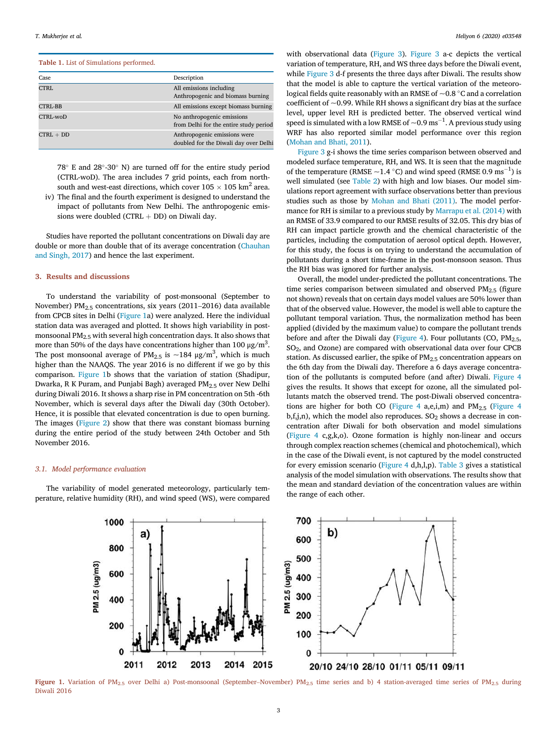| <b>Table 1.</b> List of Simulations performed. |                                                                       |  |  |  |  |
|------------------------------------------------|-----------------------------------------------------------------------|--|--|--|--|
| Case                                           | Description                                                           |  |  |  |  |
| CTRL                                           | All emissions including<br>Anthropogenic and biomass burning          |  |  |  |  |
| CTRL-BB                                        | All emissions except biomass burning                                  |  |  |  |  |
| CTRL-woD                                       | No anthropogenic emissions<br>from Delhi for the entire study period  |  |  |  |  |
| $CTRL + DD$                                    | Anthropogenic emissions were<br>doubled for the Diwali day over Delhi |  |  |  |  |

 $78^{\circ}$  E and  $28^{\circ}$ -30° N) are turned off for the entire study period (CTRL-woD). The area includes 7 grid points, each from northsouth and west-east directions, which cover  $105 \times 105$  km<sup>2</sup> area.

iv) The final and the fourth experiment is designed to understand the impact of pollutants from New Delhi. The anthropogenic emissions were doubled ( $CTRL + DD$ ) on Diwali day.

Studies have reported the pollutant concentrations on Diwali day are double or more than double that of its average concentration (Chauhan and Singh, 2017) and hence the last experiment.

# 3. Results and discussions

To understand the variability of post-monsoonal (September to November) PM<sub>2.5</sub> concentrations, six years (2011–2016) data available from CPCB sites in Delhi (Figure 1a) were analyzed. Here the individual station data was averaged and plotted. It shows high variability in postmonsoonal PM2.5 with several high concentration days. It also shows that more than 50% of the days have concentrations higher than 100  $\mu$ g/m $^3$ . The post monsoonal average of PM<sub>2.5</sub> is  $\sim$ 184  $\mu$ g/m<sup>3</sup>, which is much higher than the NAAQS. The year 2016 is no different if we go by this comparison. Figure 1b shows that the variation of station (Shadipur, Dwarka, R K Puram, and Punjabi Bagh) averaged PM2.5 over New Delhi during Diwali 2016. It shows a sharp rise in PM concentration on 5th -6th November, which is several days after the Diwali day (30th October). Hence, it is possible that elevated concentration is due to open burning. The images (Figure 2) show that there was constant biomass burning during the entire period of the study between 24th October and 5th November 2016.

#### *3.1. Model performance evaluation*

The variability of model generated meteorology, particularly temperature, relative humidity (RH), and wind speed (WS), were compared

with observational data (Figure 3). Figure 3 a-c depicts the vertical variation of temperature, RH, and WS three days before the Diwali event, while Figure 3 d-f presents the three days after Diwali. The results show that the model is able to capture the vertical variation of the meteorological fields quite reasonably with an RMSE of  $\sim$  0.8 °C and a correlation coefficient of  $\sim$  0.99. While RH shows a significant dry bias at the surface level, upper level RH is predicted better. The observed vertical wind speed is simulated with a low RMSE of  $\sim 0.9$  ms<sup>-1</sup>. A previous study using WRF has also reported similar model performance over this region (Mohan and Bhati, 2011).

Figure 3 g-i shows the time series comparison between observed and modeled surface temperature, RH, and WS. It is seen that the magnitude of the temperature (RMSE  $\sim$ 1.4 °C) and wind speed (RMSE 0.9 ms<sup>-1</sup>) is well simulated (see Table 2) with high and low biases. Our model simulations report agreement with surface observations better than previous studies such as those by Mohan and Bhati (2011). The model performance for RH is similar to a previous study by Marrapu et al. (2014) with an RMSE of 33.9 compared to our RMSE results of 32.05. This dry bias of RH can impact particle growth and the chemical characteristic of the particles, including the computation of aerosol optical depth. However, for this study, the focus is on trying to understand the accumulation of pollutants during a short time-frame in the post-monsoon season. Thus the RH bias was ignored for further analysis.

Overall, the model under-predicted the pollutant concentrations. The time series comparison between simulated and observed  $PM<sub>2.5</sub>$  (figure not shown) reveals that on certain days model values are 50% lower than that of the observed value. However, the model is well able to capture the pollutant temporal variation. Thus, the normalization method has been applied (divided by the maximum value) to compare the pollutant trends before and after the Diwali day (Figure 4). Four pollutants (CO,  $PM<sub>2.5</sub>$ , SO2, and Ozone) are compared with observational data over four CPCB station. As discussed earlier, the spike of  $PM_{2.5}$  concentration appears on the 6th day from the Diwali day. Therefore a 6 days average concentration of the pollutants is computed before (and after) Diwali. Figure 4 gives the results. It shows that except for ozone, all the simulated pollutants match the observed trend. The post-Diwali observed concentrations are higher for both CO (Figure 4 a,e,i,m) and  $PM_{2.5}$  (Figure 4  $b,f,j,n$ ), which the model also reproduces.  $SO_2$  shows a decrease in concentration after Diwali for both observation and model simulations (Figure 4 c,g,k,o). Ozone formation is highly non-linear and occurs through complex reaction schemes (chemical and photochemical), which in the case of the Diwali event, is not captured by the model constructed for every emission scenario (Figure 4 d,h,l,p). Table 3 gives a statistical analysis of the model simulation with observations. The results show that the mean and standard deviation of the concentration values are within the range of each other.



Figure 1. Variation of PM<sub>2.5</sub> over Delhi a) Post-monsoonal (September–November) PM<sub>2.5</sub> time series and b) 4 station-averaged time series of PM<sub>2.5</sub> during Diwali 2016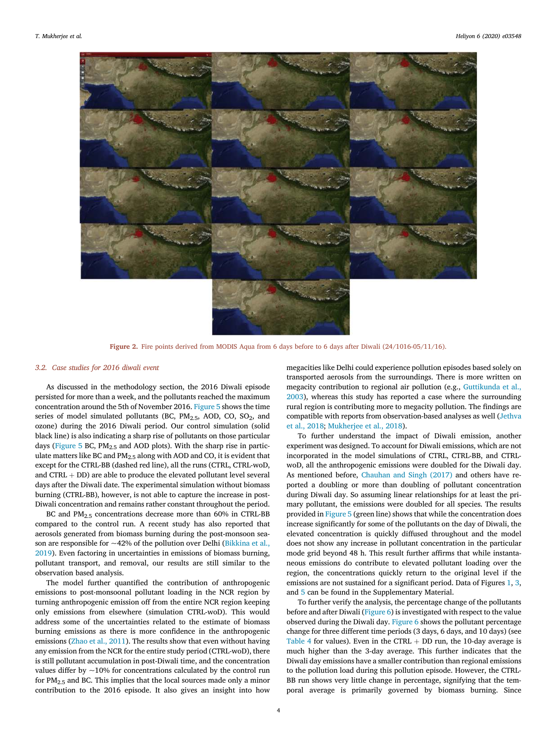

Figure 2. Fire points derived from MODIS Aqua from 6 days before to 6 days after Diwali (24/1016-05/11/16).

# *3.2. Case studies for 2016 diwali event*

As discussed in the methodology section, the 2016 Diwali episode persisted for more than a week, and the pollutants reached the maximum concentration around the 5th of November 2016. Figure 5 shows the time series of model simulated pollutants (BC,  $PM_{2.5}$ , AOD, CO, SO<sub>2</sub>, and ozone) during the 2016 Diwali period. Our control simulation (solid black line) is also indicating a sharp rise of pollutants on those particular days (Figure 5 BC,  $PM<sub>2.5</sub>$  and AOD plots). With the sharp rise in particulate matters like BC and PM2.5 along with AOD and CO, it is evident that except for the CTRL-BB (dashed red line), all the runs (CTRL, CTRL-woD, and  $CTRL + DD$ ) are able to produce the elevated pollutant level several days after the Diwali date. The experimental simulation without biomass burning (CTRL-BB), however, is not able to capture the increase in post-Diwali concentration and remains rather constant throughout the period.

BC and  $PM<sub>2.5</sub>$  concentrations decrease more than 60% in CTRL-BB compared to the control run. A recent study has also reported that aerosols generated from biomass burning during the post-monsoon season are responsible for  $\sim$ 42% of the pollution over Delhi (Bikkina et al., 2019). Even factoring in uncertainties in emissions of biomass burning, pollutant transport, and removal, our results are still similar to the observation based analysis.

The model further quantified the contribution of anthropogenic emissions to post-monsoonal pollutant loading in the NCR region by turning anthropogenic emission off from the entire NCR region keeping only emissions from elsewhere (simulation CTRL-woD). This would address some of the uncertainties related to the estimate of biomass burning emissions as there is more confidence in the anthropogenic emissions (Zhao et al., 2011). The results show that even without having any emission from the NCR for the entire study period (CTRL-woD), there is still pollutant accumulation in post-Diwali time, and the concentration values differ by  $\sim$ 10% for concentrations calculated by the control run for  $PM<sub>2.5</sub>$  and BC. This implies that the local sources made only a minor contribution to the 2016 episode. It also gives an insight into how

megacities like Delhi could experience pollution episodes based solely on transported aerosols from the surroundings. There is more written on megacity contribution to regional air pollution (e.g., Guttikunda et al., 2003), whereas this study has reported a case where the surrounding rural region is contributing more to megacity pollution. The findings are compatible with reports from observation-based analyses as well (Jethva et al., 2018; Mukherjee et al., 2018).

To further understand the impact of Diwali emission, another experiment was designed. To account for Diwali emissions, which are not incorporated in the model simulations of CTRL, CTRL-BB, and CTRLwoD, all the anthropogenic emissions were doubled for the Diwali day. As mentioned before, Chauhan and Singh (2017) and others have reported a doubling or more than doubling of pollutant concentration during Diwali day. So assuming linear relationships for at least the primary pollutant, the emissions were doubled for all species. The results provided in Figure 5 (green line) shows that while the concentration does increase significantly for some of the pollutants on the day of Diwali, the elevated concentration is quickly diffused throughout and the model does not show any increase in pollutant concentration in the particular mode grid beyond 48 h. This result further affirms that while instantaneous emissions do contribute to elevated pollutant loading over the region, the concentrations quickly return to the original level if the emissions are not sustained for a significant period. Data of Figures 1, 3, and 5 can be found in the Supplementary Material.

To further verify the analysis, the percentage change of the pollutants before and after Diwali (Figure 6) is investigated with respect to the value observed during the Diwali day. Figure 6 shows the pollutant percentage change for three different time periods (3 days, 6 days, and 10 days) (see Table 4 for values). Even in the CTRL  $+$  DD run, the 10-day average is much higher than the 3-day average. This further indicates that the Diwali day emissions have a smaller contribution than regional emissions to the pollution load during this pollution episode. However, the CTRL-BB run shows very little change in percentage, signifying that the temporal average is primarily governed by biomass burning. Since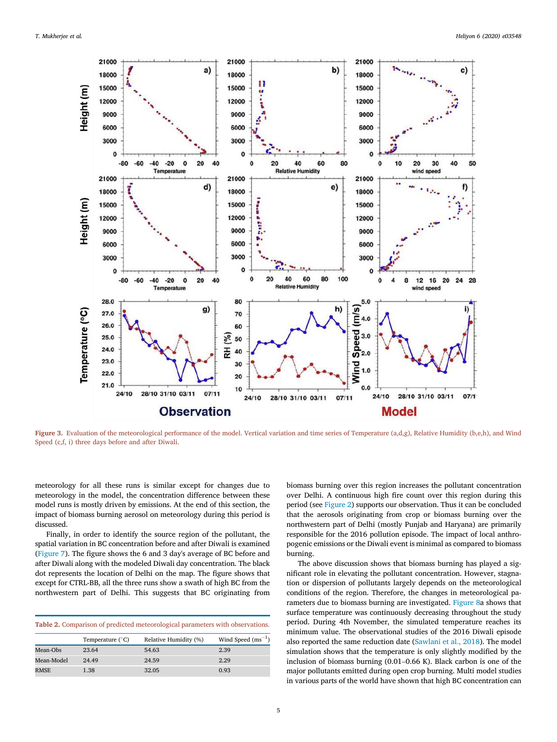

Figure 3. Evaluation of the meteorological performance of the model. Vertical variation and time series of Temperature (a,d,g), Relative Humidity (b,e,h), and Wind Speed (c,f, i) three days before and after Diwali.

meteorology for all these runs is similar except for changes due to meteorology in the model, the concentration difference between these model runs is mostly driven by emissions. At the end of this section, the impact of biomass burning aerosol on meteorology during this period is discussed.

Finally, in order to identify the source region of the pollutant, the spatial variation in BC concentration before and after Diwali is examined (Figure 7). The figure shows the 6 and 3 day's average of BC before and after Diwali along with the modeled Diwali day concentration. The black dot represents the location of Delhi on the map. The figure shows that except for CTRL-BB, all the three runs show a swath of high BC from the northwestern part of Delhi. This suggests that BC originating from

|  |  |  | Table 2. Comparison of predicted meteorological parameters with observations. |  |  |  |
|--|--|--|-------------------------------------------------------------------------------|--|--|--|
|--|--|--|-------------------------------------------------------------------------------|--|--|--|

|             | Temperature $(^{\circ}C)$ | Relative Humidity (%) | Wind Speed $(ms^{-1})$ |
|-------------|---------------------------|-----------------------|------------------------|
| Mean-Obs    | 23.64                     | 54.63                 | 2.39                   |
| Mean-Model  | 24.49                     | 24.59                 | 2.29                   |
| <b>RMSE</b> | 1.38                      | 32.05                 | 0.93                   |

biomass burning over this region increases the pollutant concentration over Delhi. A continuous high fire count over this region during this period (see Figure 2) supports our observation. Thus it can be concluded that the aerosols originating from crop or biomass burning over the northwestern part of Delhi (mostly Punjab and Haryana) are primarily responsible for the 2016 pollution episode. The impact of local anthropogenic emissions or the Diwali event is minimal as compared to biomass burning.

The above discussion shows that biomass burning has played a significant role in elevating the pollutant concentration. However, stagnation or dispersion of pollutants largely depends on the meteorological conditions of the region. Therefore, the changes in meteorological parameters due to biomass burning are investigated. Figure 8a shows that surface temperature was continuously decreasing throughout the study period. During 4th November, the simulated temperature reaches its minimum value. The observational studies of the 2016 Diwali episode also reported the same reduction date (Sawlani et al., 2018). The model simulation shows that the temperature is only slightly modified by the inclusion of biomass burning (0.01–0.66 K). Black carbon is one of the major pollutants emitted during open crop burning. Multi model studies in various parts of the world have shown that high BC concentration can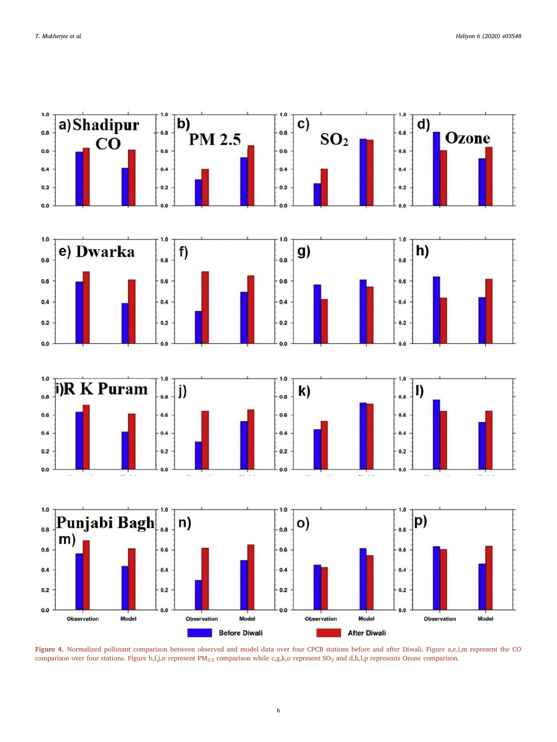

Figure 4. Normalized pollutant comparison between observed and model data over four CPCB stations before and after Diwali. Figure a,e,i,m represent the CO comparison over four stations. Figure b,f,j,n represent PM<sub>2.5</sub> comparison while c,g,k,o represent SO<sub>2</sub> and d,h,l,p represents Ozone comparison.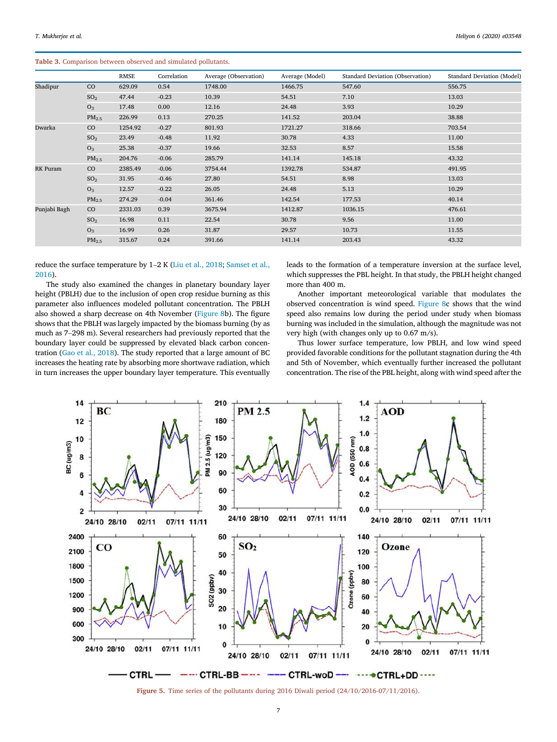# Table 3. Comparison between observed and simulated pollutants.

|                 |                   | RMSE    | Correlation | Average (Observation) | Average (Model) | <b>Standard Deviation (Observation)</b> | Standard Deviation (Model) |
|-----------------|-------------------|---------|-------------|-----------------------|-----------------|-----------------------------------------|----------------------------|
| Shadipur        | CO                | 629.09  | 0.54        | 1748.00               | 1466.75         | 547.60                                  | 556.75                     |
|                 | SO <sub>2</sub>   | 47.44   | $-0.23$     | 10.39                 | 54.51           | 7.10                                    | 13.03                      |
|                 | $O_3$             | 17.48   | 0.00        | 12.16                 | 24.48           | 3.93                                    | 10.29                      |
|                 | $PM_{2.5}$        | 226.99  | 0.13        | 270.25                | 141.52          | 203.04                                  | 38.88                      |
| Dwarka          | CO                | 1254.92 | $-0.27$     | 801.93                | 1721.27         | 318.66                                  | 703.54                     |
|                 | SO <sub>2</sub>   | 23.49   | $-0.48$     | 11.92                 | 30.78           | 4.33                                    | 11.00                      |
|                 | $O_3$             | 25.38   | $-0.37$     | 19.66                 | 32.53           | 8.57                                    | 15.58                      |
|                 | $PM_{2.5}$        | 204.76  | $-0.06$     | 285.79                | 141.14          | 145.18                                  | 43.32                      |
| <b>RK</b> Puram | CO                | 2385.49 | $-0.06$     | 3754.44               | 1392.78         | 534.87                                  | 491.95                     |
|                 | SO <sub>2</sub>   | 31.95   | $-0.46$     | 27.80                 | 54.51           | 8.98                                    | 13.03                      |
|                 | $O_3$             | 12.57   | $-0.22$     | 26.05                 | 24.48           | 5.13                                    | 10.29                      |
|                 | $PM_{2.5}$        | 274.29  | $-0.04$     | 361.46                | 142.54          | 177.53                                  | 40.14                      |
| Punjabi Bagh    | CO                | 2331.03 | 0.39        | 3675.94               | 1412.87         | 1036.15                                 | 476.61                     |
|                 | SO <sub>2</sub>   | 16.98   | 0.11        | 22.54                 | 30.78           | 9.56                                    | 11.00                      |
|                 | O <sub>3</sub>    | 16.99   | 0.26        | 31.87                 | 29.57           | 10.73                                   | 11.55                      |
|                 | PM <sub>2.5</sub> | 315.67  | 0.24        | 391.66                | 141.14          | 203.43                                  | 43.32                      |

reduce the surface temperature by 1–2K(Liu et al., 2018; Samset et al., 2016).

The study also examined the changes in planetary boundary layer height (PBLH) due to the inclusion of open crop residue burning as this parameter also influences modeled pollutant concentration. The PBLH also showed a sharp decrease on 4th November (Figure 8b). The figure shows that the PBLH was largely impacted by the biomass burning (by as much as 7–298 m). Several researchers had previously reported that the boundary layer could be suppressed by elevated black carbon concentration (Gao et al., 2018). The study reported that a large amount of BC increases the heating rate by absorbing more shortwave radiation, which in turn increases the upper boundary layer temperature. This eventually

leads to the formation of a temperature inversion at the surface level, which suppresses the PBL height. In that study, the PBLH height changed more than 400 m.

Another important meteorological variable that modulates the observed concentration is wind speed. Figure 8c shows that the wind speed also remains low during the period under study when biomass burning was included in the simulation, although the magnitude was not very high (with changes only up to 0.67 m/s).

Thus lower surface temperature, low PBLH, and low wind speed provided favorable conditions for the pollutant stagnation during the 4th and 5th of November, which eventually further increased the pollutant concentration. The rise of the PBL height, along with wind speed after the



Figure 5. Time series of the pollutants during 2016 Diwali period  $(24/10/2016-07/11/2016)$ .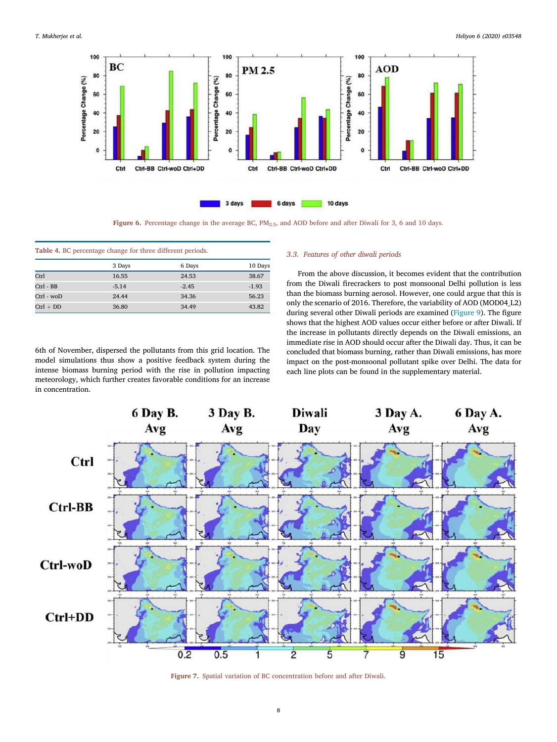

Figure 6. Percentage change in the average BC, PM<sub>2.5</sub>, and AOD before and after Diwali for 3, 6 and 10 days.

| <b>Table 4.</b> BC percentage change for three different periods. |         |         |         |  |  |  |
|-------------------------------------------------------------------|---------|---------|---------|--|--|--|
|                                                                   | 3 Days  | 6 Days  | 10 Days |  |  |  |
| Ctrl                                                              | 16.55   | 24.53   | 38.67   |  |  |  |
| Ctrl - BB                                                         | $-5.14$ | $-2.45$ | $-1.93$ |  |  |  |
| Ctrl - woD                                                        | 24.44   | 34.36   | 56.23   |  |  |  |
| $Ctrl + DD$                                                       | 36.80   | 34.49   | 43.82   |  |  |  |

6th of November, dispersed the pollutants from this grid location. The model simulations thus show a positive feedback system during the intense biomass burning period with the rise in pollution impacting meteorology, which further creates favorable conditions for an increase in concentration.

#### *3.3. Features of other diwali periods*

From the above discussion, it becomes evident that the contribution from the Diwali firecrackers to post monsoonal Delhi pollution is less than the biomass burning aerosol. However, one could argue that this is only the scenario of 2016. Therefore, the variability of AOD (MOD04\_L2) during several other Diwali periods are examined (Figure 9). The figure shows that the highest AOD values occur either before or after Diwali. If the increase in pollutants directly depends on the Diwali emissions, an immediate rise in AOD should occur after the Diwali day. Thus, it can be concluded that biomass burning, rather than Diwali emissions, has more impact on the post-monsoonal pollutant spike over Delhi. The data for each line plots can be found in the supplementary material.



Figure 7. Spatial variation of BC concentration before and after Diwali.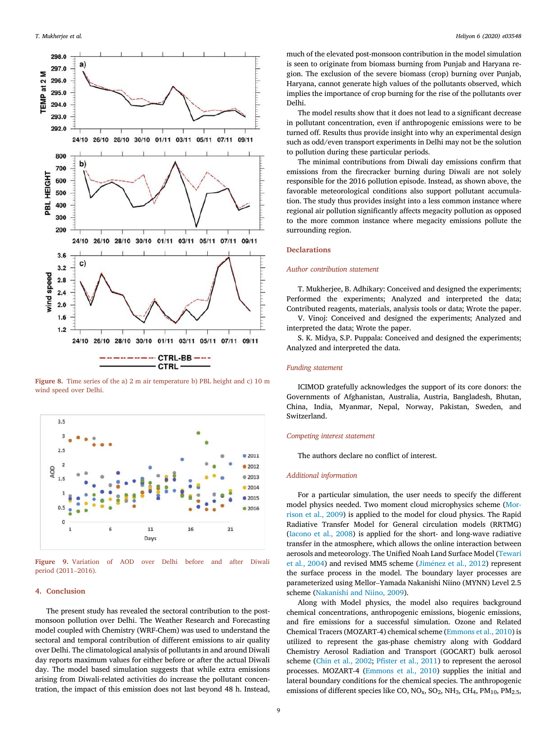

Figure 8. Time series of the a) 2 m air temperature b) PBL height and c) 10 m wind speed over Delhi.



Figure 9. Variation of AOD over Delhi before and after Diwali period (2011–2016).

# 4. Conclusion

The present study has revealed the sectoral contribution to the postmonsoon pollution over Delhi. The Weather Research and Forecasting model coupled with Chemistry (WRF-Chem) was used to understand the sectoral and temporal contribution of different emissions to air quality over Delhi. The climatological analysis of pollutants in and around Diwali day reports maximum values for either before or after the actual Diwali day. The model based simulation suggests that while extra emissions arising from Diwali-related activities do increase the pollutant concentration, the impact of this emission does not last beyond 48 h. Instead,

much of the elevated post-monsoon contribution in the model simulation is seen to originate from biomass burning from Punjab and Haryana region. The exclusion of the severe biomass (crop) burning over Punjab, Haryana, cannot generate high values of the pollutants observed, which implies the importance of crop burning for the rise of the pollutants over Delhi.

The model results show that it does not lead to a significant decrease in pollutant concentration, even if anthropogenic emissions were to be turned off. Results thus provide insight into why an experimental design such as odd/even transport experiments in Delhi may not be the solution to pollution during these particular periods.

The minimal contributions from Diwali day emissions confirm that emissions from the firecracker burning during Diwali are not solely responsible for the 2016 pollution episode. Instead, as shown above, the favorable meteorological conditions also support pollutant accumulation. The study thus provides insight into a less common instance where regional air pollution significantly affects megacity pollution as opposed to the more common instance where megacity emissions pollute the surrounding region.

# Declarations

# *Author contribution statement*

T. Mukherjee, B. Adhikary: Conceived and designed the experiments; Performed the experiments; Analyzed and interpreted the data; Contributed reagents, materials, analysis tools or data; Wrote the paper.

V. Vinoj: Conceived and designed the experiments; Analyzed and interpreted the data; Wrote the paper.

S. K. Midya, S.P. Puppala: Conceived and designed the experiments; Analyzed and interpreted the data.

# *Funding statement*

ICIMOD gratefully acknowledges the support of its core donors: the Governments of Afghanistan, Australia, Austria, Bangladesh, Bhutan, China, India, Myanmar, Nepal, Norway, Pakistan, Sweden, and Switzerland.

#### *Competing interest statement*

The authors declare no conflict of interest.

### *Additional information*

For a particular simulation, the user needs to specify the different model physics needed. Two moment cloud microphysics scheme (Morrison et al., 2009) is applied to the model for cloud physics. The Rapid Radiative Transfer Model for General circulation models (RRTMG) (Iacono et al., 2008) is applied for the short- and long-wave radiative transfer in the atmosphere, which allows the online interaction between aerosols and meteorology. The Unified Noah Land Surface Model (Tewari et al., 2004) and revised MM5 scheme (Jiménez et al., 2012) represent the surface process in the model. The boundary layer processes are parameterized using Mellor–Yamada Nakanishi Niino (MYNN) Level 2.5 scheme (Nakanishi and Niino, 2009).

Along with Model physics, the model also requires background chemical concentrations, anthropogenic emissions, biogenic emissions, and fire emissions for a successful simulation. Ozone and Related Chemical Tracers (MOZART-4) chemical scheme (Emmons et al., 2010) is utilized to represent the gas-phase chemistry along with Goddard Chemistry Aerosol Radiation and Transport (GOCART) bulk aerosol scheme (Chin et al., 2002; Pfister et al., 2011) to represent the aerosol processes. MOZART-4 (Emmons et al., 2010) supplies the initial and lateral boundary conditions for the chemical species. The anthropogenic emissions of different species like CO,  $NO<sub>x</sub>$ ,  $SO<sub>2</sub>$ ,  $NH<sub>3</sub>$ ,  $CH<sub>4</sub>$ ,  $PM<sub>10</sub>$ ,  $PM<sub>2.5</sub>$ ,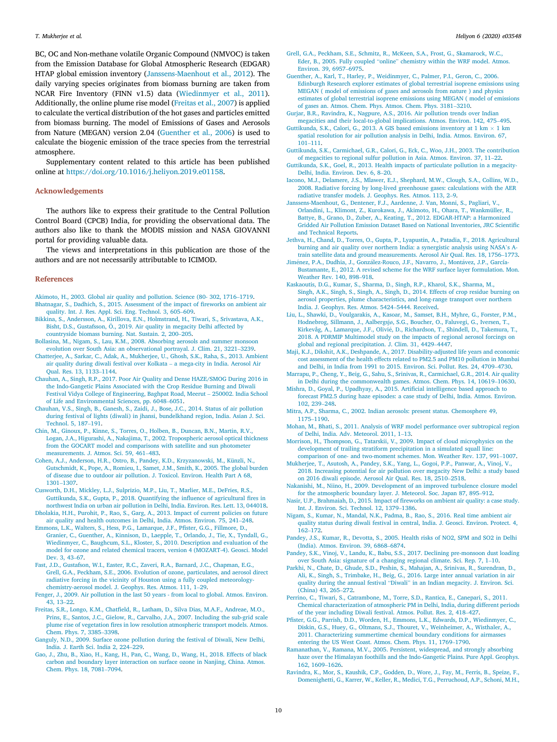BC, OC and Non-methane volatile Organic Compound (NMVOC) is taken from the Emission Database for Global Atmospheric Research (EDGAR) HTAP global emission inventory (Janssens-Maenhout et al., 2012). The daily varying species originates from biomass burning are taken from NCAR Fire Inventory (FINN v1.5) data (Wiedinmyer et al., 2011). Additionally, the online plume rise model (Freitas et al., 2007) is applied to calculate the vertical distribution of the hot gases and particles emitted from biomass burning. The model of Emissions of Gases and Aerosols from Nature (MEGAN) version 2.04 (Guenther et al., 2006) is used to calculate the biogenic emission of the trace species from the terrestrial atmosphere.

Supplementary content related to this article has been published online at https://doi.org/10.1016/j.heliyon.2019.e01158.

#### Acknowledgements

The authors like to express their gratitude to the Central Pollution Control Board (CPCB) India, for providing the observational data. The authors also like to thank the MODIS mission and NASA GIOVANNI portal for providing valuable data.

The views and interpretations in this publication are those of the authors and are not necessarily attributable to ICIMOD.

#### References

- Akimoto, H., 2003. Global air quality and pollution. Science (80- 302, 1716–1719. Bhatnagar, S., Dadhich, S., 2015. Assessment of the impact of fireworks on ambient air quality. Int. J. Res. Appl. Sci. Eng. Technol. 3, 605–609.
- Bikkina, S., Andersson, A., Kirillova, E.N., Holmstrand, H., Tiwari, S., Srivastava, A.K., Bisht, D.S., Gustafsson, Ö., 2019. Air quality in megacity Delhi affected by countryside biomass burning. Nat. Sustain. 2, 200–205.
- Bollasina, M., Nigam, S., Lau, K.M., 2008. Absorbing aerosols and summer monsoon evolution over South Asia: an observational portrayal. J. Clim. 21, 3221–3239.
- Chatterjee, A., Sarkar, C., Adak, A., Mukherjee, U., Ghosh, S.K., Raha, S., 2013. Ambient air quality during diwali festival over Kolkata – a mega-city in India. Aerosol Air Qual. Res. 13, 1133–1144.
- Chauhan, A., Singh, R.P., 2017. Poor Air Quality and Dense HAZE/SMOG During 2016 in the Indo-Gangetic Plains Associated with the Crop Residue Burning and Diwali Festival Vidya College of Engineering, Baghpat Road, Meerut – 250002. India School of Life and Environmental Sciences, pp. 6048–6051. Chauhan, V.S., Singh, B., Ganesh, S., Zaidi, J., Bose, J.C., 2014. Status of air pollution
- during festival of lights (diwali) in jhansi, bundelkhand region, India. Asian J. Sci. Technol. 5, 187–191.
- Chin, M., Ginoux, P., Kinne, S., Torres, O., Holben, B., Duncan, B.N., Martin, R.V., Logan, J.A., Higurashi, A., Nakajima, T., 2002. Tropospheric aerosol optical thickness from the GOCART model and comparisons with satellite and sun photometer measurements. J. Atmos. Sci. 59, 461–483.
- Cohen, A.J., Anderson, H.R., Ostro, B., Pandey, K.D., Krzyzanowski, M., Künzli, N., Gutschmidt, K., Pope, A., Romieu, I., Samet, J.M., Smith, K., 2005. The global burden of disease due to outdoor air pollution. J. Toxicol. Environ. Health Part A 68, 1301–1307.
- Cusworth, D.H., Mickley, L.J., Sulprizio, M.P., Liu, T., Marlier, M.E., DeFries, R.S., Guttikunda, S.K., Gupta, P., 2018. Quantifying the influence of agricultural fires in northwest India on urban air pollution in Delhi, India. Environ. Res. Lett. 13, 044018.
- Dholakia, H.H., Purohit, P., Rao, S., Garg, A., 2013. Impact of current policies on future air quality and health outcomes in Delhi, India. Atmos. Environ. 75, 241–248. Emmons, L.K., Walters, S., Hess, P.G., Lamarque, J.F., Pfister, G.G., Fillmore, D.,
- Granier, C., Guenther, A., Kinnison, D., Laepple, T., Orlando, J., Tie, X., Tyndall, G., Wiedinmyer, C., Baughcum, S.L., Kloster, S., 2010. Description and evaluation of the model for ozone and related chemical tracers, version 4 (MOZART-4). Geosci. Model Dev. 3, 43–67.
- Fast, J.D., Gustafson, W.I., Easter, R.C., Zaveri, R.A., Barnard, J.C., Chapman, E.G., Grell, G.A., Peckham, S.E., 2006. Evolution of ozone, particulates, and aerosol direct radiative forcing in the vicinity of Houston using a fully coupled meteorologychemistry-aerosol model. J. Geophys. Res. Atmos. 111, 1–29.
- Fenger, J., 2009. Air pollution in the last 50 years from local to global. Atmos. Environ. 43, 13–22.
- Freitas, S.R., Longo, K.M., Chatfield, R., Latham, D., Silva Dias, M.A.F., Andreae, M.O., Prins, E., Santos, J.C., Gielow, R., Carvalho, J.A., 2007. Including the sub-grid scale plume rise of vegetation fires in low resolution atmospheric transport models. Atmos. Chem. Phys. 7, 3385–3398.
- Ganguly, N.D., 2009. Surface ozone pollution during the festival of Diwali, New Delhi, India. J. Earth Sci. India 2, 224–229.
- Gao, J., Zhu, B., Xiao, H., Kang, H., Pan, C., Wang, D., Wang, H., 2018. Effects of black carbon and boundary layer interaction on surface ozone in Nanjing, China. Atmos. Chem. Phys. 18, 7081–7094.
- Grell, G.A., Peckham, S.E., Schmitz, R., McKeen, S.A., Frost, G., Skamarock, W.C., Eder, B., 2005. Fully coupled "online" chemistry within the WRF model. Atmos. Environ. 39, 6957–6975.
- Guenther, A., Karl, T., Harley, P., Weidinmyer, C., Palmer, P.I., Geron, C., 2006. Edinburgh Research explorer estimates of global terrestrial isoprene emissions using MEGAN ( model of emissions of gases and aerosols from nature ) and physics estimates of global terrestrial isoprene emissions using MEGAN ( model of emissions of gases an. Atmos. Chem. Phys. Atmos. Chem. Phys. 3181–3210.
- Gurjar, B.R., Ravindra, K., Nagpure, A.S., 2016. Air pollution trends over Indian megacities and their local-to-global implications. Atmos. Environ. 142, 475–495. Guttikunda, S.K., Calori, G., 2013. A GIS based emissions inventory at  $1 \text{ km} \times 1 \text{ km}$
- spatial resolution for air pollution analysis in Delhi, India. Atmos. Environ. 67, 101–111.
- Guttikunda, S.K., Carmichael, G.R., Calori, G., Eck, C., Woo, J.H., 2003. The contribution of megacities to regional sulfur pollution in Asia. Atmos. Environ. 37, 11–22.
- Guttikunda, S.K., Goel, R., 2013. Health impacts of particulate pollution in a megacity-Delhi, India. Environ. Dev. 6, 8–20.
- Iacono, M.J., Delamere, J.S., Mlawer, E.J., Shephard, M.W., Clough, S.A., Collins, W.D., 2008. Radiative forcing by long-lived greenhouse gases: calculations with the AER radiative transfer models. J. Geophys. Res. Atmos. 113, 2–9.
- Janssens-Maenhout, G., Dentener, F.J., Aardenne, J. Van, Monni, S., Pagliari, V., Orlandini, L., Klimont, Z., Kurokawa, J., Akimoto, H., Ohara, T., Wankmüller, R., Battye, B., Grano, D., Zuber, A., Keating, T., 2012. EDGAR-HTAP: a Harmonized Gridded Air Pollution Emission Dataset Based on National Inventories, JRC Scientific and Technical Reports.
- Jethva, H., Chand, D., Torres, O., Gupta, P., Lyapustin, A., Patadia, F., 2018. Agricultural burning and air quality over northern India: a synergistic analysis using NASA's Atrain satellite data and ground measurements. Aerosol Air Qual. Res. 18, 1756–1773.
- Jimenez, P.A., Dudhia, J., Gonzalez-Rouco, J.F., Navarro, J., Montavez, J.P., García-Bustamante, E., 2012. A revised scheme for the WRF surface layer formulation. Mon. Weather Rev. 140, 898–918.
- Kaskaoutis, D.G., Kumar, S., Sharma, D., Singh, R.P., Kharol, S.K., Sharma, M., Singh, A.K., Singh, S., Singh, A., Singh, D., 2014. Effects of crop residue burning on aerosol properties, plume characteristics, and long-range transport over northern India. J. Geophys. Res. Atmos. 5424–5444. Received.
- Liu, L., Shawki, D., Voulgarakis, A., Kasoar, M., Samset, B.H., Myhre, G., Forster, P.M., Hodnebrog, Sillmann, J., Aalbergsjø, S.G., Boucher, O., Faluvegi, G., Iversen, T., Kirkevåg, A., Lamarque, J.F., Olivie, D., Richardson, T., Shindell, D., Takemura, T., 2018. A PDRMIP Multimodel study on the impacts of regional aerosol forcings on global and regional precipitation. J. Clim. 31, 4429–4447.
- Maji, K.J., Dikshit, A.K., Deshpande, A., 2017. Disability-adjusted life years and economic cost assessment of the health effects related to PM2.5 and PM10 pollution in Mumbai and Delhi, in India from 1991 to 2015. Environ. Sci. Pollut. Res. 24, 4709–4730.
- Marrapu, P., Cheng, Y., Beig, G., Sahu, S., Srinivas, R., Carmichael, G.R., 2014. Air quality in Delhi during the commonwealth games. Atmos. Chem. Phys. 14, 10619–10630.
- Mishra, D., Goyal, P., Upadhyay, A., 2015. Artificial intelligence based approach to forecast PM2.5 during haze episodes: a case study of Delhi, India. Atmos. Environ. 102, 239–248.
- Mitra, A.P., Sharma, C., 2002. Indian aerosols: present status. Chemosphere 49, 1175–1190.
- Mohan, M., Bhati, S., 2011. Analysis of WRF model performance over subtropical region of Delhi, India. Adv. Meteorol. 2011, 1–13.
- Morrison, H., Thompson, G., Tatarskii, V., 2009. Impact of cloud microphysics on the development of trailing stratiform precipitation in a simulated squall line: comparison of one- and two-moment schemes. Mon. Weather Rev. 137, 991–1007.
- Mukherjee, T., Asutosh, A., Pandey, S.K., Yang, L., Gogoi, P.P., Panwar, A., Vinoj, V., 2018. Increasing potential for air pollution over megacity New Delhi: a study based on 2016 diwali episode. Aerosol Air Qual. Res. 18, 2510–2518.
- Nakanishi, M., Niino, H., 2009. Development of an improved turbulence closure model for the atmospheric boundary layer. J. Meteorol. Soc. Japan 87, 895–912.
- Nasir, U.P., Brahmaiah, D., 2015. Impact of fireworks on ambient air quality: a case study. Int. J. Environ. Sci. Technol. 12, 1379–1386.
- Nigam, S., Kumar, N., Mandal, N.K., Padma, B., Rao, S., 2016. Real time ambient air quality status during diwali festival in central, India. J. Geosci. Environ. Protect. 4, 162–172.
- Pandey, J.S., Kumar, R., Devotta, S., 2005. Health risks of NO2, SPM and SO2 in Delhi (India). Atmos. Environ. 39, 6868–6874.
- Pandey, S.K., Vinoj, V., Landu, K., Babu, S.S., 2017. Declining pre-monsoon dust loading over South Asia: signature of a changing regional climate. Sci. Rep. 7, 1–10.
- Parkhi, N., Chate, D., Ghude, S.D., Peshin, S., Mahajan, A., Srinivas, R., Surendran, D., Ali, K., Singh, S., Trimbake, H., Beig, G., 2016. Large inter annual variation in air quality during the annual festival "Diwali" in an Indian megacity. J. Environ. Sci. (China) 43, 265–272.
- Perrino, C., Tiwari, S., Catrambone, M., Torre, S.D., Rantica, E., Canepari, S., 2011. Chemical characterization of atmospheric PM in Delhi, India, during different periods of the year including Diwali festival. Atmos. Pollut. Res. 2, 418–427.
- Pfister, G.G., Parrish, D.D., Worden, H., Emmons, L.K., Edwards, D.P., Wiedinmyer, C., Diskin, G.S., Huey, G., Oltmans, S.J., Thouret, V., Weinheimer, A., Wisthaler, A., 2011. Characterizing summertime chemical boundary conditions for airmasses entering the US West Coast. Atmos. Chem. Phys. 11, 1769–1790.
- Ramanathan, V., Ramana, M.V., 2005. Persistent, widespread, and strongly absorbing haze over the Himalayan foothills and the Indo-Gangetic Plains. Pure Appl. Geophys. 162, 1609–1626.
- Ravindra, K., Mor, S., Kaushik, C.P., Godden, D., Wore, J., Fay, M., Ferris, B., Speize, F., Domenighetti, G., Karrer, W., Keller, R., Medici, T.G., Perruchoud, A.P., Schoni, M.H.,